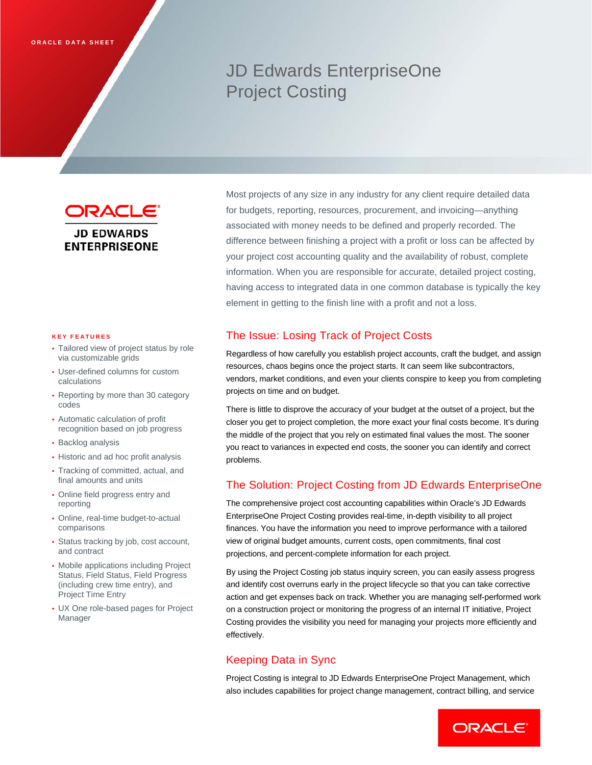# JD Edwards EnterpriseOne Project Costing

DRACLE **JD EDWARDS ENTERPRISEONE** 

#### **KEY FEATURES**

- Tailored view of project status by role via customizable grids
- User-defined columns for custom calculations
- Reporting by more than 30 category codes
- Automatic calculation of profit recognition based on job progress
- Backlog analysis
- Historic and ad hoc profit analysis
- Tracking of committed, actual, and final amounts and units
- Online field progress entry and reporting
- Online, real-time budget-to-actual comparisons
- Status tracking by job, cost account, and contract
- Mobile applications including Project Status, Field Status, Field Progress (including crew time entry), and Project Time Entry
- UX One role-based pages for Project Manager

Most projects of any size in any industry for any client require detailed data for budgets, reporting, resources, procurement, and invoicing—anything associated with money needs to be defined and properly recorded. The difference between finishing a project with a profit or loss can be affected by your project cost accounting quality and the availability of robust, complete information. When you are responsible for accurate, detailed project costing, having access to integrated data in one common database is typically the key element in getting to the finish line with a profit and not a loss.

# The Issue: Losing Track of Project Costs

Regardless of how carefully you establish project accounts, craft the budget, and assign resources, chaos begins once the project starts. It can seem like subcontractors, vendors, market conditions, and even your clients conspire to keep you from completing projects on time and on budget.

There is little to disprove the accuracy of your budget at the outset of a project, but the closer you get to project completion, the more exact your final costs become. It's during the middle of the project that you rely on estimated final values the most. The sooner you react to variances in expected end costs, the sooner you can identify and correct problems.

## The Solution: Project Costing from JD Edwards EnterpriseOne

The comprehensive project cost accounting capabilities within Oracle's JD Edwards EnterpriseOne Project Costing provides real-time, in-depth visibility to all project finances. You have the information you need to improve performance with a tailored view of original budget amounts, current costs, open commitments, final cost projections, and percent-complete information for each project.

By using the Project Costing job status inquiry screen, you can easily assess progress and identify cost overruns early in the project lifecycle so that you can take corrective action and get expenses back on track. Whether you are managing self-performed work on a construction project or monitoring the progress of an internal IT initiative, Project Costing provides the visibility you need for managing your projects more efficiently and effectively.

# Keeping Data in Sync

Project Costing is integral to JD Edwards EnterpriseOne Project Management, which also includes capabilities for project change management, contract billing, and service

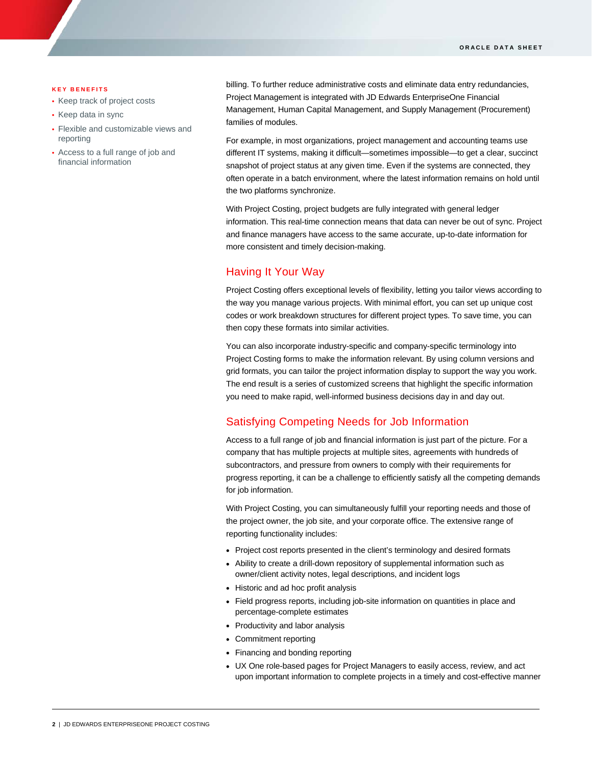#### **KEY BENEFITS**

- Keep track of project costs
- Keep data in sync
- Flexible and customizable views and reporting
- Access to a full range of job and financial information

billing. To further reduce administrative costs and eliminate data entry redundancies, Project Management is integrated with JD Edwards EnterpriseOne Financial Management, Human Capital Management, and Supply Management (Procurement) families of modules.

For example, in most organizations, project management and accounting teams use different IT systems, making it difficult—sometimes impossible—to get a clear, succinct snapshot of project status at any given time. Even if the systems are connected, they often operate in a batch environment, where the latest information remains on hold until the two platforms synchronize.

With Project Costing, project budgets are fully integrated with general ledger information. This real-time connection means that data can never be out of sync. Project and finance managers have access to the same accurate, up-to-date information for more consistent and timely decision-making.

## Having It Your Way

Project Costing offers exceptional levels of flexibility, letting you tailor views according to the way you manage various projects. With minimal effort, you can set up unique cost codes or work breakdown structures for different project types. To save time, you can then copy these formats into similar activities.

You can also incorporate industry-specific and company-specific terminology into Project Costing forms to make the information relevant. By using column versions and grid formats, you can tailor the project information display to support the way you work. The end result is a series of customized screens that highlight the specific information you need to make rapid, well-informed business decisions day in and day out.

## Satisfying Competing Needs for Job Information

Access to a full range of job and financial information is just part of the picture. For a company that has multiple projects at multiple sites, agreements with hundreds of subcontractors, and pressure from owners to comply with their requirements for progress reporting, it can be a challenge to efficiently satisfy all the competing demands for job information.

With Project Costing, you can simultaneously fulfill your reporting needs and those of the project owner, the job site, and your corporate office. The extensive range of reporting functionality includes:

- Project cost reports presented in the client's terminology and desired formats
- Ability to create a drill-down repository of supplemental information such as owner/client activity notes, legal descriptions, and incident logs
- Historic and ad hoc profit analysis
- Field progress reports, including job-site information on quantities in place and percentage-complete estimates
- Productivity and labor analysis
- Commitment reporting
- Financing and bonding reporting
- UX One role-based pages for Project Managers to easily access, review, and act upon important information to complete projects in a timely and cost-effective manner